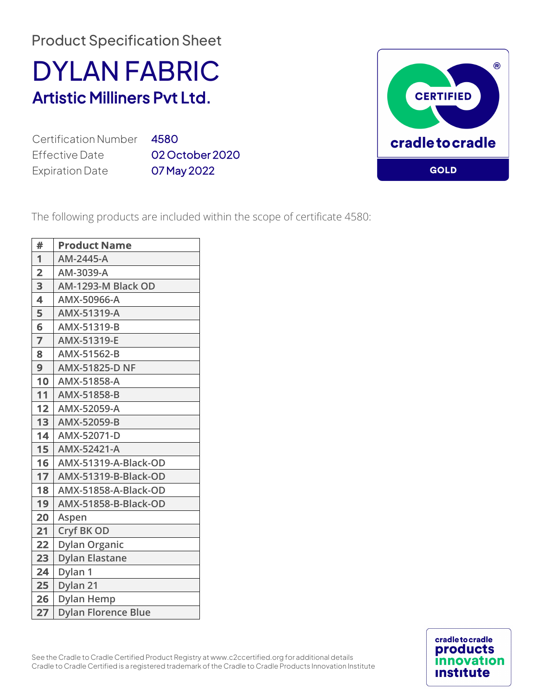Product Specification Sheet

## DYLAN FABRIC Artistic Milliners Pvt Ltd.

Certification Number 4580 Effective Date **02 October 2020** Expiration Date

07 May 2022



The following products are included within the scope of certificate 4580:

| #                       | <b>Product Name</b>        |
|-------------------------|----------------------------|
| 1                       | AM-2445-A                  |
| $\overline{2}$          | AM-3039-A                  |
| 3                       | AM-1293-M Black OD         |
| $\overline{\mathbf{4}}$ | AMX-50966-A                |
| 5                       | AMX-51319-A                |
| 6                       | AMX-51319-B                |
| $\overline{7}$          | AMX-51319-E                |
| 8                       | AMX-51562-B                |
| 9                       | <b>AMX-51825-D NF</b>      |
| 10                      | AMX-51858-A                |
| 11                      | AMX-51858-B                |
| 12                      | AMX-52059-A                |
| 13                      | AMX-52059-B                |
| 14                      | AMX-52071-D                |
| 15                      | AMX-52421-A                |
| 16                      | AMX-51319-A-Black-OD       |
| 17                      | AMX-51319-B-Black-OD       |
| 18                      | AMX-51858-A-Black-OD       |
| 19                      | AMX-51858-B-Black-OD       |
| 20                      | Aspen                      |
| 21                      | Cryf BK OD                 |
| 22                      | <b>Dylan Organic</b>       |
| 23                      | <b>Dylan Elastane</b>      |
| 24                      | Dylan 1                    |
| 25                      | Dylan 21                   |
| 26                      | <b>Dylan Hemp</b>          |
| 27                      | <b>Dylan Florence Blue</b> |

See the Cradle to Cradle Certified Product Registry at www.c2ccertified.org for additional details Cradle to Cradle Certified is a registered trademark of the Cradle to Cradle Products Innovation Institute